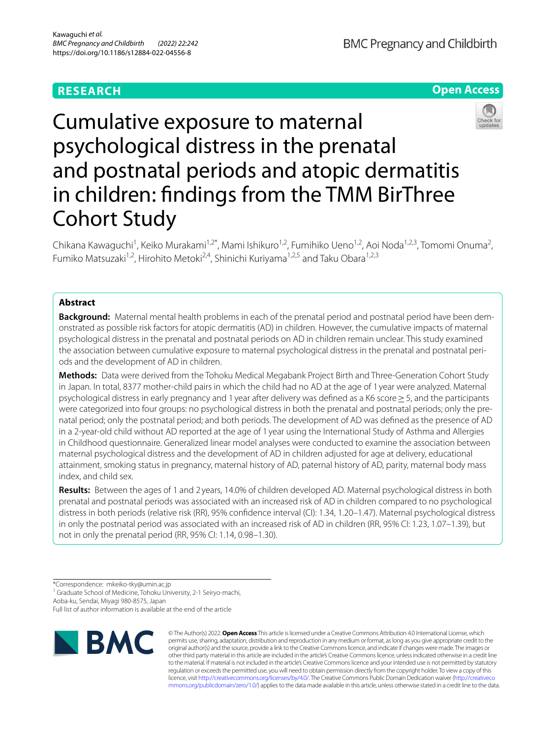## **RESEARCH**

**BMC Pregnancy and Childbirth** 

# **Open Access**



# Cumulative exposure to maternal psychological distress in the prenatal and postnatal periods and atopic dermatitis in children: fndings from the TMM BirThree Cohort Study

Chikana Kawaguchi<sup>1</sup>, Keiko Murakami<sup>1,2\*</sup>, Mami Ishikuro<sup>1,2</sup>, Fumihiko Ueno<sup>1,2</sup>, Aoi Noda<sup>1,2,3</sup>, Tomomi Onuma<sup>2</sup>, Fumiko Matsuzaki<sup>1,2</sup>, Hirohito Metoki<sup>2,4</sup>, Shinichi Kuriyama<sup>1,2,5</sup> and Taku Obara<sup>1,2,3</sup>

## **Abstract**

**Background:** Maternal mental health problems in each of the prenatal period and postnatal period have been demonstrated as possible risk factors for atopic dermatitis (AD) in children. However, the cumulative impacts of maternal psychological distress in the prenatal and postnatal periods on AD in children remain unclear. This study examined the association between cumulative exposure to maternal psychological distress in the prenatal and postnatal periods and the development of AD in children.

**Methods:** Data were derived from the Tohoku Medical Megabank Project Birth and Three-Generation Cohort Study in Japan. In total, 8377 mother-child pairs in which the child had no AD at the age of 1 year were analyzed. Maternal psychological distress in early pregnancy and 1 year after delivery was defned as a K6 score≥5, and the participants were categorized into four groups: no psychological distress in both the prenatal and postnatal periods; only the prenatal period; only the postnatal period; and both periods. The development of AD was defned as the presence of AD in a 2-year-old child without AD reported at the age of 1 year using the International Study of Asthma and Allergies in Childhood questionnaire. Generalized linear model analyses were conducted to examine the association between maternal psychological distress and the development of AD in children adjusted for age at delivery, educational attainment, smoking status in pregnancy, maternal history of AD, paternal history of AD, parity, maternal body mass index, and child sex.

**Results:** Between the ages of 1 and 2 years, 14.0% of children developed AD. Maternal psychological distress in both prenatal and postnatal periods was associated with an increased risk of AD in children compared to no psychological distress in both periods (relative risk (RR), 95% confidence interval (CI): 1.34, 1.20–1.47). Maternal psychological distress in only the postnatal period was associated with an increased risk of AD in children (RR, 95% CI: 1.23, 1.07–1.39), but not in only the prenatal period (RR, 95% CI: 1.14, 0.98–1.30).

<sup>1</sup> Graduate School of Medicine, Tohoku University, 2-1 Seiryo-machi,

Aoba-ku, Sendai, Miyagi 980-8575, Japan

Full list of author information is available at the end of the article



© The Author(s) 2022. **Open Access** This article is licensed under a Creative Commons Attribution 4.0 International License, which permits use, sharing, adaptation, distribution and reproduction in any medium or format, as long as you give appropriate credit to the original author(s) and the source, provide a link to the Creative Commons licence, and indicate if changes were made. The images or other third party material in this article are included in the article's Creative Commons licence, unless indicated otherwise in a credit line to the material. If material is not included in the article's Creative Commons licence and your intended use is not permitted by statutory regulation or exceeds the permitted use, you will need to obtain permission directly from the copyright holder. To view a copy of this licence, visit [http://creativecommons.org/licenses/by/4.0/.](http://creativecommons.org/licenses/by/4.0/) The Creative Commons Public Domain Dedication waiver ([http://creativeco](http://creativecommons.org/publicdomain/zero/1.0/) [mmons.org/publicdomain/zero/1.0/](http://creativecommons.org/publicdomain/zero/1.0/)) applies to the data made available in this article, unless otherwise stated in a credit line to the data.

<sup>\*</sup>Correspondence: mkeiko-tky@umin.ac.jp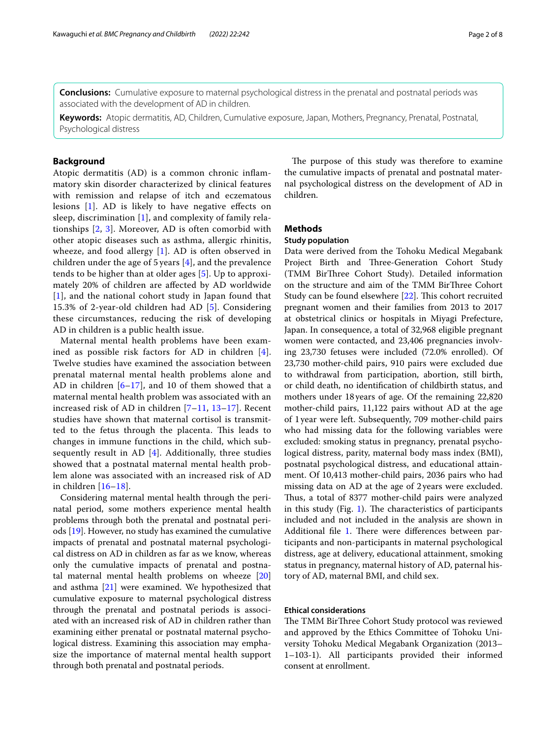**Conclusions:** Cumulative exposure to maternal psychological distress in the prenatal and postnatal periods was associated with the development of AD in children.

**Keywords:** Atopic dermatitis, AD, Children, Cumulative exposure, Japan, Mothers, Pregnancy, Prenatal, Postnatal, Psychological distress

## **Background**

Atopic dermatitis (AD) is a common chronic infammatory skin disorder characterized by clinical features with remission and relapse of itch and eczematous lesions [[1](#page-6-0)]. AD is likely to have negative efects on sleep, discrimination [[1\]](#page-6-0), and complexity of family relationships [\[2](#page-6-1), [3](#page-6-2)]. Moreover, AD is often comorbid with other atopic diseases such as asthma, allergic rhinitis, wheeze, and food allergy [\[1](#page-6-0)]. AD is often observed in children under the age of 5 years [\[4](#page-6-3)], and the prevalence tends to be higher than at older ages [[5\]](#page-6-4). Up to approximately 20% of children are afected by AD worldwide [[1](#page-6-0)], and the national cohort study in Japan found that 15.3% of 2-year-old children had AD [\[5\]](#page-6-4). Considering these circumstances, reducing the risk of developing AD in children is a public health issue.

Maternal mental health problems have been examined as possible risk factors for AD in children [[4\]](#page-6-3). Twelve studies have examined the association between prenatal maternal mental health problems alone and AD in children  $[6–17]$  $[6–17]$  $[6–17]$  $[6–17]$ , and 10 of them showed that a maternal mental health problem was associated with an increased risk of AD in children [\[7](#page-6-6)[–11](#page-6-7), [13–](#page-6-8)[17](#page-7-0)]. Recent studies have shown that maternal cortisol is transmitted to the fetus through the placenta. This leads to changes in immune functions in the child, which subsequently result in AD [[4\]](#page-6-3). Additionally, three studies showed that a postnatal maternal mental health problem alone was associated with an increased risk of AD in children [\[16](#page-7-1)[–18\]](#page-7-2).

Considering maternal mental health through the perinatal period, some mothers experience mental health problems through both the prenatal and postnatal periods [[19](#page-7-3)]. However, no study has examined the cumulative impacts of prenatal and postnatal maternal psychological distress on AD in children as far as we know, whereas only the cumulative impacts of prenatal and postnatal maternal mental health problems on wheeze [[20](#page-7-4)] and asthma [\[21](#page-7-5)] were examined. We hypothesized that cumulative exposure to maternal psychological distress through the prenatal and postnatal periods is associated with an increased risk of AD in children rather than examining either prenatal or postnatal maternal psychological distress. Examining this association may emphasize the importance of maternal mental health support through both prenatal and postnatal periods.

The purpose of this study was therefore to examine the cumulative impacts of prenatal and postnatal maternal psychological distress on the development of AD in children.

## **Methods**

## **Study population**

Data were derived from the Tohoku Medical Megabank Project Birth and Three-Generation Cohort Study (TMM BirThree Cohort Study). Detailed information on the structure and aim of the TMM BirThree Cohort Study can be found elsewhere [\[22\]](#page-7-6). This cohort recruited pregnant women and their families from 2013 to 2017 at obstetrical clinics or hospitals in Miyagi Prefecture, Japan. In consequence, a total of 32,968 eligible pregnant women were contacted, and 23,406 pregnancies involving 23,730 fetuses were included (72.0% enrolled). Of 23,730 mother-child pairs, 910 pairs were excluded due to withdrawal from participation, abortion, still birth, or child death, no identifcation of childbirth status, and mothers under 18years of age. Of the remaining 22,820 mother-child pairs, 11,122 pairs without AD at the age of 1year were left. Subsequently, 709 mother-child pairs who had missing data for the following variables were excluded: smoking status in pregnancy, prenatal psychological distress, parity, maternal body mass index (BMI), postnatal psychological distress, and educational attainment. Of 10,413 mother-child pairs, 2036 pairs who had missing data on AD at the age of 2years were excluded. Thus, a total of 8377 mother-child pairs were analyzed in this study (Fig. [1](#page-2-0)). The characteristics of participants included and not included in the analysis are shown in Additional file [1.](#page-6-9) There were differences between participants and non-participants in maternal psychological distress, age at delivery, educational attainment, smoking status in pregnancy, maternal history of AD, paternal history of AD, maternal BMI, and child sex.

## **Ethical considerations**

The TMM BirThree Cohort Study protocol was reviewed and approved by the Ethics Committee of Tohoku University Tohoku Medical Megabank Organization (2013– 1–103-1). All participants provided their informed consent at enrollment.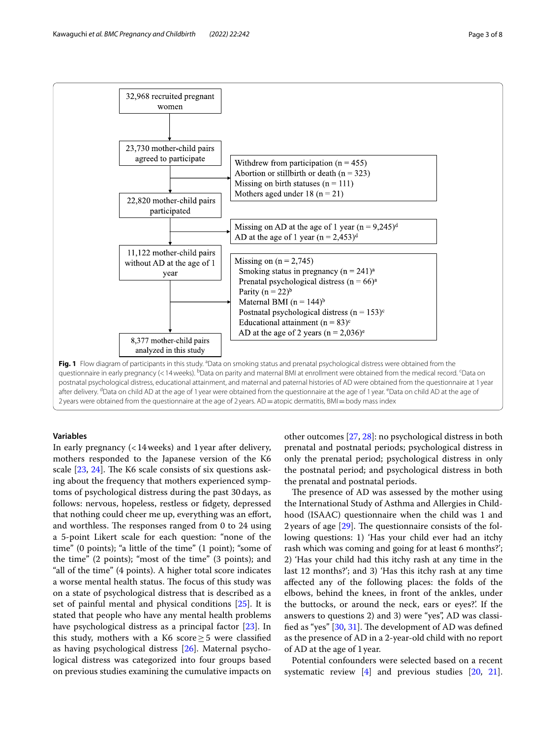

<span id="page-2-0"></span>2 years were obtained from the questionnaire at the age of 2 years. AD = atopic dermatitis, BMI = body mass index

## **Variables**

In early pregnancy (<14weeks) and 1year after delivery, mothers responded to the Japanese version of the K6 scale  $[23, 24]$  $[23, 24]$  $[23, 24]$  $[23, 24]$  $[23, 24]$ . The K6 scale consists of six questions asking about the frequency that mothers experienced symptoms of psychological distress during the past 30days, as follows: nervous, hopeless, restless or fdgety, depressed that nothing could cheer me up, everything was an effort, and worthless. The responses ranged from 0 to 24 using a 5-point Likert scale for each question: "none of the time" (0 points); "a little of the time" (1 point); "some of the time" (2 points); "most of the time" (3 points); and "all of the time" (4 points). A higher total score indicates a worse mental health status. The focus of this study was on a state of psychological distress that is described as a set of painful mental and physical conditions [[25\]](#page-7-9). It is stated that people who have any mental health problems have psychological distress as a principal factor [\[23\]](#page-7-7). In this study, mothers with a K6 score  $\geq$  5 were classified as having psychological distress [[26](#page-7-10)]. Maternal psychological distress was categorized into four groups based on previous studies examining the cumulative impacts on other outcomes [\[27,](#page-7-11) [28](#page-7-12)]: no psychological distress in both prenatal and postnatal periods; psychological distress in only the prenatal period; psychological distress in only the postnatal period; and psychological distress in both the prenatal and postnatal periods.

The presence of AD was assessed by the mother using the International Study of Asthma and Allergies in Childhood (ISAAC) questionnaire when the child was 1 and 2 years of age  $[29]$  $[29]$ . The questionnaire consists of the following questions: 1) 'Has your child ever had an itchy rash which was coming and going for at least 6 months?'; 2) 'Has your child had this itchy rash at any time in the last 12 months?'; and 3) 'Has this itchy rash at any time afected any of the following places: the folds of the elbows, behind the knees, in front of the ankles, under the buttocks, or around the neck, ears or eyes?'. If the answers to questions 2) and 3) were "yes", AD was classified as "yes"  $[30, 31]$  $[30, 31]$  $[30, 31]$  $[30, 31]$ . The development of AD was defined as the presence of AD in a 2-year-old child with no report of AD at the age of 1year.

Potential confounders were selected based on a recent systematic review [\[4](#page-6-3)] and previous studies [\[20,](#page-7-4) [21](#page-7-5)].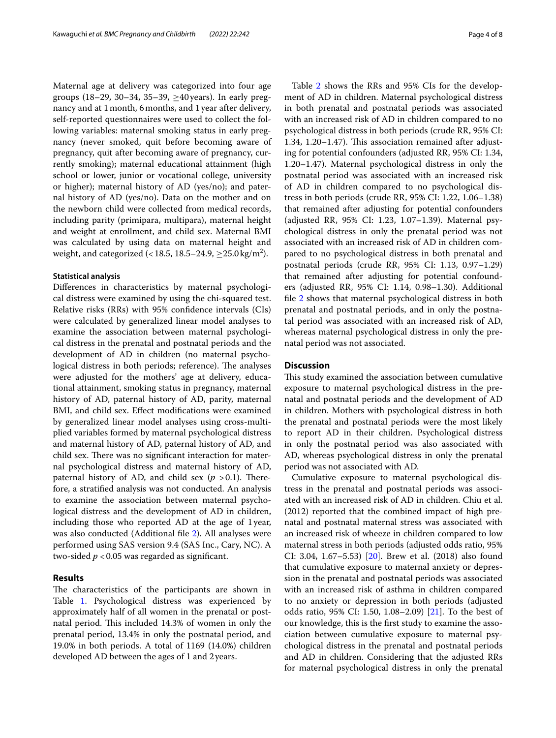Maternal age at delivery was categorized into four age groups (18–29, 30–34, 35–39, ≥40 years). In early pregnancy and at 1month, 6months, and 1year after delivery, self-reported questionnaires were used to collect the following variables: maternal smoking status in early pregnancy (never smoked, quit before becoming aware of pregnancy, quit after becoming aware of pregnancy, currently smoking); maternal educational attainment (high school or lower, junior or vocational college, university or higher); maternal history of AD (yes/no); and paternal history of AD (yes/no). Data on the mother and on the newborn child were collected from medical records, including parity (primipara, multipara), maternal height and weight at enrollment, and child sex. Maternal BMI was calculated by using data on maternal height and weight, and categorized (< 18.5, 18.5–24.9,  $\geq$ 25.0 kg/m<sup>2</sup>).

#### **Statistical analysis**

Diferences in characteristics by maternal psychological distress were examined by using the chi-squared test. Relative risks (RRs) with 95% confdence intervals (CIs) were calculated by generalized linear model analyses to examine the association between maternal psychological distress in the prenatal and postnatal periods and the development of AD in children (no maternal psychological distress in both periods; reference). The analyses were adjusted for the mothers' age at delivery, educational attainment, smoking status in pregnancy, maternal history of AD, paternal history of AD, parity, maternal BMI, and child sex. Efect modifcations were examined by generalized linear model analyses using cross-multiplied variables formed by maternal psychological distress and maternal history of AD, paternal history of AD, and child sex. There was no significant interaction for maternal psychological distress and maternal history of AD, paternal history of AD, and child sex  $(p > 0.1)$ . Therefore, a stratifed analysis was not conducted. An analysis to examine the association between maternal psychological distress and the development of AD in children, including those who reported AD at the age of 1year, was also conducted (Additional fle [2\)](#page-6-10). All analyses were performed using SAS version 9.4 (SAS Inc., Cary, NC). A two-sided  $p < 0.05$  was regarded as significant.

## **Results**

The characteristics of the participants are shown in Table [1](#page-4-0). Psychological distress was experienced by approximately half of all women in the prenatal or postnatal period. This included 14.3% of women in only the prenatal period, 13.4% in only the postnatal period, and 19.0% in both periods. A total of 1169 (14.0%) children developed AD between the ages of 1 and 2years.

Table [2](#page-5-0) shows the RRs and 95% CIs for the development of AD in children. Maternal psychological distress in both prenatal and postnatal periods was associated with an increased risk of AD in children compared to no psychological distress in both periods (crude RR, 95% CI: 1.34, 1.20–1.47). This association remained after adjusting for potential confounders (adjusted RR, 95% CI: 1.34, 1.20–1.47). Maternal psychological distress in only the postnatal period was associated with an increased risk of AD in children compared to no psychological distress in both periods (crude RR, 95% CI: 1.22, 1.06–1.38) that remained after adjusting for potential confounders (adjusted RR, 95% CI: 1.23, 1.07–1.39). Maternal psychological distress in only the prenatal period was not associated with an increased risk of AD in children compared to no psychological distress in both prenatal and postnatal periods (crude RR, 95% CI: 1.13, 0.97–1.29) that remained after adjusting for potential confounders (adjusted RR, 95% CI: 1.14, 0.98–1.30). Additional fle [2](#page-6-10) shows that maternal psychological distress in both prenatal and postnatal periods, and in only the postnatal period was associated with an increased risk of AD, whereas maternal psychological distress in only the prenatal period was not associated.

## **Discussion**

This study examined the association between cumulative exposure to maternal psychological distress in the prenatal and postnatal periods and the development of AD in children. Mothers with psychological distress in both the prenatal and postnatal periods were the most likely to report AD in their children. Psychological distress in only the postnatal period was also associated with AD, whereas psychological distress in only the prenatal period was not associated with AD.

Cumulative exposure to maternal psychological distress in the prenatal and postnatal periods was associated with an increased risk of AD in children. Chiu et al. (2012) reported that the combined impact of high prenatal and postnatal maternal stress was associated with an increased risk of wheeze in children compared to low maternal stress in both periods (adjusted odds ratio, 95% CI: 3.04, 1.67–5.53) [[20\]](#page-7-4). Brew et al. (2018) also found that cumulative exposure to maternal anxiety or depression in the prenatal and postnatal periods was associated with an increased risk of asthma in children compared to no anxiety or depression in both periods (adjusted odds ratio, 95% CI: 1.50, 1.08–2.09) [[21\]](#page-7-5). To the best of our knowledge, this is the frst study to examine the association between cumulative exposure to maternal psychological distress in the prenatal and postnatal periods and AD in children. Considering that the adjusted RRs for maternal psychological distress in only the prenatal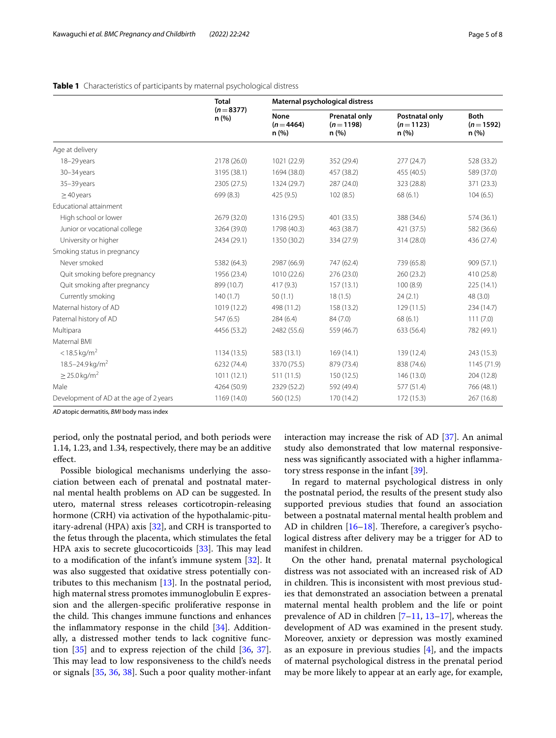|                                         | <b>Total</b>       | Maternal psychological distress |                                             |                                      |                                   |  |
|-----------------------------------------|--------------------|---------------------------------|---------------------------------------------|--------------------------------------|-----------------------------------|--|
|                                         | $(n=8377)$<br>n(%) | None<br>$(n=4464)$<br>n(%)      | <b>Prenatal only</b><br>$(n=1198)$<br>n (%) | Postnatal only<br>$(n=1123)$<br>n(%) | <b>Both</b><br>$(n=1592)$<br>n(%) |  |
| Age at delivery                         |                    |                                 |                                             |                                      |                                   |  |
| 18-29 years                             | 2178 (26.0)        | 1021 (22.9)                     | 352 (29.4)                                  | 277(24.7)                            | 528 (33.2)                        |  |
| $30 - 34$ years                         | 3195 (38.1)        | 1694 (38.0)                     | 457 (38.2)                                  | 455 (40.5)                           | 589 (37.0)                        |  |
| 35-39 years                             | 2305 (27.5)        | 1324 (29.7)                     | 287 (24.0)                                  | 323 (28.8)                           | 371 (23.3)                        |  |
| $\geq$ 40 years                         | 699 (8.3)          | 425 (9.5)                       | 102(8.5)                                    | 68(6.1)                              | 104(6.5)                          |  |
| Educational attainment                  |                    |                                 |                                             |                                      |                                   |  |
| High school or lower                    | 2679 (32.0)        | 1316 (29.5)                     | 401 (33.5)                                  | 388 (34.6)                           | 574 (36.1)                        |  |
| Junior or vocational college            | 3264 (39.0)        | 1798 (40.3)                     | 463 (38.7)                                  | 421 (37.5)                           | 582 (36.6)                        |  |
| University or higher                    | 2434 (29.1)        | 1350 (30.2)                     | 334 (27.9)                                  | 314 (28.0)                           | 436 (27.4)                        |  |
| Smoking status in pregnancy             |                    |                                 |                                             |                                      |                                   |  |
| Never smoked                            | 5382 (64.3)        | 2987 (66.9)                     | 747 (62.4)                                  | 739 (65.8)                           | 909 (57.1)                        |  |
| Quit smoking before pregnancy           | 1956 (23.4)        | 1010 (22.6)                     | 276 (23.0)                                  | 260 (23.2)                           | 410 (25.8)                        |  |
| Quit smoking after pregnancy            | 899 (10.7)         | 417(9.3)                        | 157(13.1)                                   | 100(8.9)                             | 225(14.1)                         |  |
| Currently smoking                       | 140(1.7)           | 50(1.1)                         | 18(1.5)                                     | 24(2.1)                              | 48 (3.0)                          |  |
| Maternal history of AD                  | 1019 (12.2)        | 498 (11.2)                      | 158 (13.2)                                  | 129 (11.5)                           | 234 (14.7)                        |  |
| Paternal history of AD                  | 547 (6.5)          | 284(6.4)                        | 84 (7.0)                                    | 68 (6.1)                             | 111(7.0)                          |  |
| Multipara                               | 4456 (53.2)        | 2482 (55.6)                     | 559 (46.7)                                  | 633 (56.4)                           | 782 (49.1)                        |  |
| Maternal BMI                            |                    |                                 |                                             |                                      |                                   |  |
| $<$ 18.5 kg/m <sup>2</sup>              | 1134 (13.5)        | 583 (13.1)                      | 169(14.1)                                   | 139 (12.4)                           | 243 (15.3)                        |  |
| 18.5-24.9 kg/m <sup>2</sup>             | 6232 (74.4)        | 3370 (75.5)                     | 879 (73.4)                                  | 838 (74.6)                           | 1145 (71.9)                       |  |
| $\geq$ 25.0 kg/m <sup>2</sup>           | 1011(12.1)         | 511(11.5)                       | 150 (12.5)                                  | 146 (13.0)                           | 204 (12.8)                        |  |
| Male                                    | 4264 (50.9)        | 2329 (52.2)                     | 592 (49.4)                                  | 577 (51.4)                           | 766 (48.1)                        |  |
| Development of AD at the age of 2 years | 1169 (14.0)        | 560 (12.5)                      | 170 (14.2)                                  | 172 (15.3)                           | 267 (16.8)                        |  |

## <span id="page-4-0"></span>**Table 1** Characteristics of participants by maternal psychological distress

*AD* atopic dermatitis, *BMI* body mass index

period, only the postnatal period, and both periods were 1.14, 1.23, and 1.34, respectively, there may be an additive efect.

Possible biological mechanisms underlying the association between each of prenatal and postnatal maternal mental health problems on AD can be suggested. In utero, maternal stress releases corticotropin-releasing hormone (CRH) via activation of the hypothalamic-pituitary-adrenal (HPA) axis [[32\]](#page-7-16), and CRH is transported to the fetus through the placenta, which stimulates the fetal HPA axis to secrete glucocorticoids [\[33](#page-7-17)]. This may lead to a modifcation of the infant's immune system [\[32](#page-7-16)]. It was also suggested that oxidative stress potentially contributes to this mechanism [\[13](#page-6-8)]. In the postnatal period, high maternal stress promotes immunoglobulin E expression and the allergen-specifc proliferative response in the child. This changes immune functions and enhances the inflammatory response in the child  $[34]$ . Additionally, a distressed mother tends to lack cognitive function [\[35](#page-7-19)] and to express rejection of the child [\[36](#page-7-20), [37](#page-7-21)]. This may lead to low responsiveness to the child's needs or signals [[35,](#page-7-19) [36,](#page-7-20) [38](#page-7-22)]. Such a poor quality mother-infant interaction may increase the risk of AD [[37](#page-7-21)]. An animal study also demonstrated that low maternal responsiveness was signifcantly associated with a higher infammatory stress response in the infant [\[39\]](#page-7-23).

In regard to maternal psychological distress in only the postnatal period, the results of the present study also supported previous studies that found an association between a postnatal maternal mental health problem and AD in children  $[16–18]$  $[16–18]$  $[16–18]$  $[16–18]$ . Therefore, a caregiver's psychological distress after delivery may be a trigger for AD to manifest in children.

On the other hand, prenatal maternal psychological distress was not associated with an increased risk of AD in children. This is inconsistent with most previous studies that demonstrated an association between a prenatal maternal mental health problem and the life or point prevalence of AD in children [[7–](#page-6-6)[11,](#page-6-7) [13](#page-6-8)[–17](#page-7-0)], whereas the development of AD was examined in the present study. Moreover, anxiety or depression was mostly examined as an exposure in previous studies  $[4]$  $[4]$ , and the impacts of maternal psychological distress in the prenatal period may be more likely to appear at an early age, for example,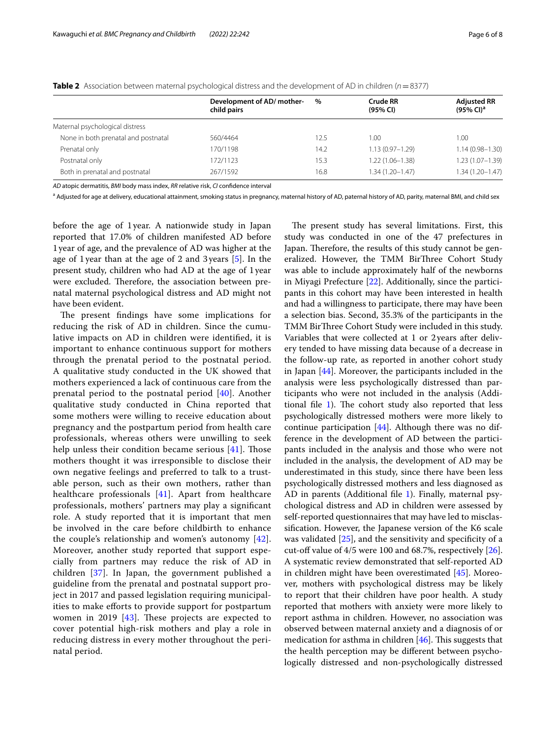|                                     | Development of AD/mother-<br>child pairs | %    | Crude RR<br>(95% CI) | <b>Adjusted RR</b><br>$(95\%$ CI) <sup>a</sup> |  |  |
|-------------------------------------|------------------------------------------|------|----------------------|------------------------------------------------|--|--|
| Maternal psychological distress     |                                          |      |                      |                                                |  |  |
| None in both prenatal and postnatal | 560/4464                                 | 12.5 | 1.00                 | 1.00                                           |  |  |
| Prenatal only                       | 170/1198                                 | 14.2 | $1.13(0.97 - 1.29)$  | $1.14(0.98 - 1.30)$                            |  |  |
| Postnatal only                      | 172/1123                                 | 15.3 | $1.22(1.06 - 1.38)$  | $1.23(1.07 - 1.39)$                            |  |  |
| Both in prenatal and postnatal      | 267/1592                                 | 16.8 | $1.34(1.20 - 1.47)$  | $1.34(1.20 - 1.47)$                            |  |  |
|                                     |                                          |      |                      |                                                |  |  |

<span id="page-5-0"></span>**Table 2** Association between maternal psychological distress and the development of AD in children (*n*=8377)

*AD* atopic dermatitis, *BMI* body mass index, *RR* relative risk, *CI* confdence interval

<sup>a</sup> Adjusted for age at delivery, educational attainment, smoking status in pregnancy, maternal history of AD, paternal history of AD, parity, maternal BMI, and child sex

before the age of 1year. A nationwide study in Japan reported that 17.0% of children manifested AD before 1year of age, and the prevalence of AD was higher at the age of 1year than at the age of 2 and 3 years [\[5](#page-6-4)]. In the present study, children who had AD at the age of 1year were excluded. Therefore, the association between prenatal maternal psychological distress and AD might not have been evident.

The present findings have some implications for reducing the risk of AD in children. Since the cumulative impacts on AD in children were identifed, it is important to enhance continuous support for mothers through the prenatal period to the postnatal period. A qualitative study conducted in the UK showed that mothers experienced a lack of continuous care from the prenatal period to the postnatal period [[40\]](#page-7-24). Another qualitative study conducted in China reported that some mothers were willing to receive education about pregnancy and the postpartum period from health care professionals, whereas others were unwilling to seek help unless their condition became serious  $[41]$  $[41]$ . Those mothers thought it was irresponsible to disclose their own negative feelings and preferred to talk to a trustable person, such as their own mothers, rather than healthcare professionals [[41\]](#page-7-25). Apart from healthcare professionals, mothers' partners may play a signifcant role. A study reported that it is important that men be involved in the care before childbirth to enhance the couple's relationship and women's autonomy [[42\]](#page-7-26). Moreover, another study reported that support especially from partners may reduce the risk of AD in children [[37](#page-7-21)]. In Japan, the government published a guideline from the prenatal and postnatal support project in 2017 and passed legislation requiring municipalities to make eforts to provide support for postpartum women in 2019  $[43]$  $[43]$ . These projects are expected to cover potential high-risk mothers and play a role in reducing distress in every mother throughout the perinatal period.

The present study has several limitations. First, this study was conducted in one of the 47 prefectures in Japan. Therefore, the results of this study cannot be generalized. However, the TMM BirThree Cohort Study was able to include approximately half of the newborns in Miyagi Prefecture [\[22](#page-7-6)]. Additionally, since the participants in this cohort may have been interested in health and had a willingness to participate, there may have been a selection bias. Second, 35.3% of the participants in the TMM BirThree Cohort Study were included in this study. Variables that were collected at 1 or 2 years after delivery tended to have missing data because of a decrease in the follow-up rate, as reported in another cohort study in Japan [[44](#page-7-28)]. Moreover, the participants included in the analysis were less psychologically distressed than participants who were not included in the analysis (Additional file  $1$ ). The cohort study also reported that less psychologically distressed mothers were more likely to continue participation  $[44]$ . Although there was no difference in the development of AD between the participants included in the analysis and those who were not included in the analysis, the development of AD may be underestimated in this study, since there have been less psychologically distressed mothers and less diagnosed as AD in parents (Additional file [1\)](#page-6-9). Finally, maternal psychological distress and AD in children were assessed by self-reported questionnaires that may have led to misclassifcation. However, the Japanese version of the K6 scale was validated [[25\]](#page-7-9), and the sensitivity and specificity of a cut-off value of  $4/5$  were 100 and 68.7%, respectively  $[26]$  $[26]$ . A systematic review demonstrated that self-reported AD in children might have been overestimated [[45\]](#page-7-29). Moreover, mothers with psychological distress may be likely to report that their children have poor health. A study reported that mothers with anxiety were more likely to report asthma in children. However, no association was observed between maternal anxiety and a diagnosis of or medication for asthma in children  $[46]$  $[46]$ . This suggests that the health perception may be diferent between psychologically distressed and non-psychologically distressed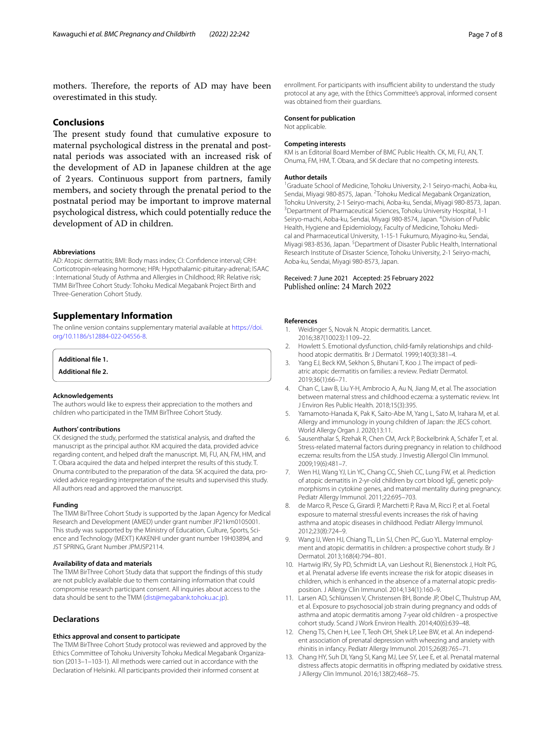## **Conclusions**

The present study found that cumulative exposure to maternal psychological distress in the prenatal and postnatal periods was associated with an increased risk of the development of AD in Japanese children at the age of 2years. Continuous support from partners, family members, and society through the prenatal period to the postnatal period may be important to improve maternal psychological distress, which could potentially reduce the development of AD in children.

#### **Abbreviations**

AD: Atopic dermatitis; BMI: Body mass index; CI: Confdence interval; CRH: Corticotropin-releasing hormone; HPA: Hypothalamic-pituitary-adrenal; ISAAC : International Study of Asthma and Allergies in Childhood; RR: Relative risk; TMM BirThree Cohort Study: Tohoku Medical Megabank Project Birth and Three-Generation Cohort Study.

## **Supplementary Information**

The online version contains supplementary material available at [https://doi.](https://doi.org/10.1186/s12884-022-04556-8) [org/10.1186/s12884-022-04556-8](https://doi.org/10.1186/s12884-022-04556-8).

<span id="page-6-10"></span><span id="page-6-9"></span>**Additional fle 1.**

**Additional fle 2.**

#### **Acknowledgements**

The authors would like to express their appreciation to the mothers and children who participated in the TMM BirThree Cohort Study.

#### **Authors' contributions**

CK designed the study, performed the statistical analysis, and drafted the manuscript as the principal author. KM acquired the data, provided advice regarding content, and helped draft the manuscript. MI, FU, AN, FM, HM, and T. Obara acquired the data and helped interpret the results of this study. T. Onuma contributed to the preparation of the data. SK acquired the data, provided advice regarding interpretation of the results and supervised this study. All authors read and approved the manuscript.

### **Funding**

The TMM BirThree Cohort Study is supported by the Japan Agency for Medical Research and Development (AMED) under grant number JP21km0105001. This study was supported by the Ministry of Education, Culture, Sports, Science and Technology (MEXT) KAKENHI under grant number 19H03894, and JST SPRING, Grant Number JPMJSP2114.

## **Availability of data and materials**

The TMM BirThree Cohort Study data that support the fndings of this study are not publicly available due to them containing information that could compromise research participant consent. All inquiries about access to the data should be sent to the TMM [\(dist@megabank.tohoku.ac.jp](dist@megabank.tohoku.ac.jp)).

## **Declarations**

## **Ethics approval and consent to participate**

The TMM BirThree Cohort Study protocol was reviewed and approved by the Ethics Committee of Tohoku University Tohoku Medical Megabank Organization (2013–1–103-1). All methods were carried out in accordance with the Declaration of Helsinki. All participants provided their informed consent at

#### **Consent for publication**

was obtained from their guardians.

Not applicable.

#### **Competing interests**

KM is an Editorial Board Member of BMC Public Health. CK, MI, FU, AN, T. Onuma, FM, HM, T. Obara, and SK declare that no competing interests.

#### **Author details**

<sup>1</sup> Graduate School of Medicine, Tohoku University, 2-1 Seiryo-machi, Aoba-ku, Sendai, Miyagi 980-8575, Japan. <sup>2</sup>Tohoku Medical Megabank Organization, Tohoku University, 2-1 Seiryo-machi, Aoba-ku, Sendai, Miyagi 980-8573, Japan. 3 <sup>3</sup> Department of Pharmaceutical Sciences, Tohoku University Hospital, 1-1 Seiryo-machi, Aoba-ku, Sendai, Miyagi 980-8574, Japan. <sup>4</sup>Division of Public Health, Hygiene and Epidemiology, Faculty of Medicine, Tohoku Medical and Pharmaceutical University, 1-15-1 Fukumuro, Miyagino-ku, Sendai, Miyagi 983-8536, Japan. <sup>5</sup> Department of Disaster Public Health, International Research Institute of Disaster Science, Tohoku University, 2-1 Seiryo-machi, Aoba-ku, Sendai, Miyagi 980-8573, Japan.

Received: 7 June 2021 Accepted: 25 February 2022 Published online: 24 March 2022

#### **References**

- <span id="page-6-0"></span>Weidinger S, Novak N. Atopic dermatitis. Lancet. 2016;387(10023):1109–22.
- <span id="page-6-1"></span>2. Howlett S. Emotional dysfunction, child-family relationships and childhood atopic dermatitis. Br J Dermatol. 1999;140(3):381–4.
- <span id="page-6-2"></span>3. Yang EJ, Beck KM, Sekhon S, Bhutani T, Koo J. The impact of pediatric atopic dermatitis on families: a review. Pediatr Dermatol. 2019;36(1):66–71.
- <span id="page-6-3"></span>4. Chan C, Law B, Liu Y-H, Ambrocio A, Au N, Jiang M, et al. The association between maternal stress and childhood eczema: a systematic review. Int J Environ Res Public Health. 2018;15(3):395.
- <span id="page-6-4"></span>5. Yamamoto-Hanada K, Pak K, Saito-Abe M, Yang L, Sato M, Irahara M, et al. Allergy and immunology in young children of Japan: the JECS cohort. World Allergy Organ J. 2020;13:11.
- <span id="page-6-5"></span>6. Sausenthalar S, Rzehak R, Chen CM, Arck P, Bockelbrink A, Schäfer T, et al. Stress-related maternal factors during pregnancy in relation to childhood eczema: results from the LISA study. J Investig Allergol Clin Immunol. 2009;19(6):481–7.
- <span id="page-6-6"></span>7. Wen HJ, Wang YJ, Lin YC, Chang CC, Shieh CC, Lung FW, et al. Prediction of atopic dematitis in 2-yr-old children by cort blood IgE, genetic polymorphisms in cytokine genes, and maternal mentality during pregnancy. Pediatr Allergy Immunol. 2011;22:695–703.
- 8. de Marco R, Pesce G, Girardi P, Marchetti P, Rava M, Ricci P, et al. Foetal exposure to maternal stressful events increases the risk of having asthma and atopic diseases in childhood. Pediatr Allergy Immunol. 2012;23(8):724–9.
- 9. Wang IJ, Wen HJ, Chiang TL, Lin SJ, Chen PC, Guo YL. Maternal employment and atopic dermatitis in children: a prospective cohort study. Br J Dermatol. 2013;168(4):794–801.
- 10. Hartwig IRV, Sly PD, Schmidt LA, van Lieshout RJ, Bienenstock J, Holt PG, et al. Prenatal adverse life events increase the risk for atopic diseases in children, which is enhanced in the absence of a maternal atopic predisposition. J Allergy Clin Immunol. 2014;134(1):160–9.
- <span id="page-6-7"></span>11. Larsen AD, Schlünssen V, Christensen BH, Bonde JP, Obel C, Thulstrup AM, et al. Exposure to psychosocial job strain during pregnancy and odds of asthma and atopic dermatitis among 7-year old children - a prospective cohort study. Scand J Work Environ Health. 2014;40(6):639–48.
- 12. Cheng TS, Chen H, Lee T, Teoh OH, Shek LP, Lee BW, et al. An independent association of prenatal depression with wheezing and anxiety with rhinitis in infancy. Pediatr Allergy Immunol. 2015;26(8):765–71.
- <span id="page-6-8"></span>13. Chang HY, Suh DI, Yang SI, Kang MJ, Lee SY, Lee E, et al. Prenatal maternal distress affects atopic dermatitis in offspring mediated by oxidative stress. J Allergy Clin Immunol. 2016;138(2):468–75.